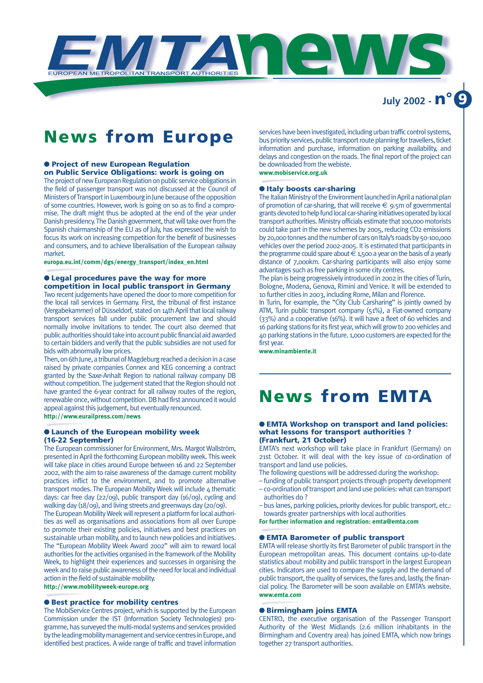

### **July 2002 - n° 9**

### **News from Europe**

#### ● **Project of new European Regulation on Public Service Obligations: work is going on**

The project of new European Regulation on public service obligations in the field of passenger transport was not discussed at the Council of Ministers of Transport in Luxembourg in June because of the opposition of some countries. However, work is going on so as to find a compromise. The draft might thus be adopted at the end of the year under Danish presidency. The Danish government, that will take over from the Spanish chairmanship of the EU as of July, has expressed the wish to focus its work on increasing competition for the benefit of businesses and consumers, and to achieve liberalisation of the European railway market.

**europa.eu.int/comm/dgs/energy\_transport/index\_en.html**

#### ● **Legal procedures pave the way for more competition in local public transport in Germany**

Two recent judgements have opened the door to more competition for the local rail services in Germany. First, the tribunal of first instance (Vergabekammer) of Düsseldorf, stated on 14th April that local railway transport services fall under public procurement law and should normally involve invitations to tender. The court also deemed that public authorities should take into account public financial aid awarded to certain bidders and verify that the public subsidies are not used for bids with abnormally low prices.

Then, on 6th June, a tribunal of Magdeburg reached a decision in a case raised by private companies Connex and KEG concerning a contract granted by the Saxe-Anhalt Region to national railway company DB without competition. The judgement stated that the Region should not have granted the 6-year contract for all railway routes of the region, renewable once, without competition. DB had first announced it would appeal against this judgement, but eventually renounced. **http://www.eurailpress.com/news**

#### ● **Launch of the European mobility week (16-22 September)**

The European commissioner for Environment, Mrs. Margot Wallström, presented in April the forthcoming European mobility week. This week will take place in cities around Europe between 16 and 22 September 2002, with the aim to raise awareness of the damage current mobility practices inflict to the environment, and to promote alternative transport modes. The European Mobility Week will include 4 thematic days: car free day (22/09), public transport day (16/09), cycling and walking day (18/09), and living streets and greenways day (20/09).

The European Mobility Week will represent a platform for local authorities as well as organisations and associations from all over Europe to promote their existing policies, initiatives and best practices on sustainable urban mobility, and to launch new policies and initiatives. The "European Mobility Week Award 2002" will aim to reward local authorities for the activities organised in the framework of the Mobility Week, to highlight their experiences and successes in organising the week and to raise public awareness of the need for local and individual action in the field of sustainable mobility.

**http://www.mobilityweek-europe.org**

#### ● **Best practice for mobility centres**

The MobiService Centres project, which is supported by the European Commission under the IST (Information Society Technologies) programme, has surveyed the multi-modal systems and services provided by the leading mobility management and service centres in Europe, and identified best practices. A wide range of traffic and travel information services have been investigated, including urban traffic control systems, bus priority services, public transport route planning for travellers, ticket information and purchase, information on parking availability, and delays and congestion on the roads. The final report of the project can be downloaded from the webiste.

**www.mobiservice.org.uk**

#### ● **Italy boosts car-sharing**

The Italian Ministry of the Environment launched in April a national plan of promotion of car-sharing, that will receive  $\epsilon$  9.5m of governmental grants devoted to help fund local car-sharing initiatives operated by local transport authorities. Ministry officials estimate that 100,000 motorists could take part in the new schemes by 2005, reducing CO2 emissions by 20,000 tonnes and the number of cars on Italy's roads by 50-100,000 vehicles over the period 2002-2005. It is estimated that participants in the programme could spare about  $\epsilon$  1,500 a year on the basis of a yearly distance of 7,000km. Car-sharing participants will also enjoy some advantages such as free parking in some city centres.

The plan is being progressively introduced in 2002 in the cities of Turin, Bologne, Modena, Genova, Rimini and Venice. It will be extended to 10 further cities in 2003, including Rome, Milan and Florence.

In Turin, for example, the "City Club Carsharing" is jointly owned by ATM, Turin public transport company (51%), a Fiat-owned company (33%) and a cooperative (16%). It will have a fleet of 60 vehicles and 16 parking stations for its first year, which will grow to 200 vehicles and 40 parking stations in the future. 1,000 customers are expected for the first year.

**www.minambiente.it**

# **News from EMTA**

#### ● **EMTA Workshop on transport and land policies: what lessons for transport authorities ? (Frankfurt, 21 October)**

EMTA's next workshop will take place in Frankfurt (Germany) on 21st October. It will deal with the key issue of co-ordination of transport and land use policies.

- The following questions will be addressed during the workshop:
- funding of public transport projects through property development – co-ordination of transport and land use policies: what can transport authorities do ?
- bus lanes, parking policies, priority devices for public transport, etc.: towards greater partnerships with local authorities

**For further information and registration: emta@emta.com**

#### ● **EMTA Barometer of public transport**

EMTA will release shortly its first Barometer of public transport in the European metropolitan areas. This document contains up-to-date statistics about mobility and public transport in the largest European cities. Indicators are used to compare the supply and the demand of public transport, the quality of services, the fares and, lastly, the financial policy. The Barometer will be soon available on EMTA's website. **www.emta.com**

#### ● **Birmingham joins EMTA**

CENTRO, the executive organisation of the Passenger Transport Authority of the West Midlands (2.6 million inhabitants in the Birmingham and Coventry area) has joined EMTA, which now brings together 27 transport authorities.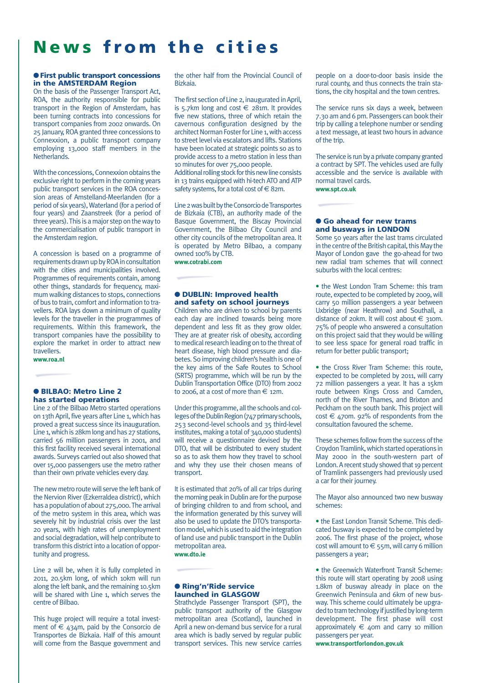# **News from the cities**

#### ● **First public transport concessions in the AMSTERDAM Region**

On the basis of the Passenger Transport Act, ROA, the authority responsible for public transport in the Region of Amsterdam, has been turning contracts into concessions for transport companies from 2002 onwards. On 25 January, ROA granted three concessions to Connexxion, a public transport company employing 13,000 staff members in the Netherlands.

With the concessions, Connexxion obtains the exclusive right to perform in the coming years public transport services in the ROA concession areas of Amstelland-Meerlanden (for a period of six years), Waterland (for a period of four years) and Zaanstreek (for a period of three years). This is a major step on the way to the commercialisation of public transport in the Amsterdam region.

A concession is based on a programme of requirements drawn up by ROA in consultation with the cities and municipalities involved. Programmes of requirements contain, among other things, standards for frequency, maximum walking distances to stops, connections of bus to train, comfort and information to travellers. ROA lays down a minimum of quality levels for the traveller in the programmes of requirements. Within this framework, the transport companies have the possibility to explore the market in order to attract new travellers.

**www.roa.nl**

#### ● **BILBAO: Metro Line 2 has started operations**

Line 2 of the Bilbao Metro started operations on 13th April, five years after Line 1, which has proved a great success since its inauguration. Line 1, which is 28km long and has 27 stations, carried 56 million passengers in 2001, and this first facility received several international awards. Surveys carried out also showed that over 15,000 passengers use the metro rather than their own private vehicles every day.

The new metro route will serve the left bank of the Nervion River (Ezkerraldea district), which has a population of about 275,000. The arrival of the metro system in this area, which was severely hit by industrial crisis over the last 20 years, with high rates of unemployment and social degradation, will help contribute to transform this district into a location of opportunity and progress.

Line 2 will be, when it is fully completed in 2011, 20.5km long, of which 10km will run along the left bank, and the remaining 10.5km will be shared with Line 1, which serves the centre of Bilbao.

This huge project will require a total investment of  $\epsilon$  434m, paid by the Consorcio de Transportes de Bizkaia. Half of this amount will come from the Basque government and the other half from the Provincial Council of Bizkaia.

The first section of Line 2, inaugurated in April, is 5.7km long and cost  $\epsilon$  281m. It provides five new stations, three of which retain the cavernous configuration designed by the architect Norman Foster for Line 1, with access to street level via escalators and lifts. Stations have been located at strategic points so as to provide access to a metro station in less than 10 minutes for over 75,000 people.

Additional rolling stock for this new line consists in 13 trains equipped with hi-tech ATO and ATP safety systems, for a total cost of  $\in$  82m.

Line 2 was built by the Consorcio de Transportes de Bizkaia (CTB), an authority made of the Basque Government, the Biscay Provincial Government, the Bilbao City Council and other city councils of the metropolitan area. It is operated by Metro Bilbao, a company owned 100% by CTB.

**www.cotrabi.com**

#### ● **DUBLIN: Improved health and safety on school journeys**

Children who are driven to school by parents each day are inclined towards being more dependent and less fit as they grow older. They are at greater risk of obesity, according to medical research leading on to the threat of heart disease, high blood pressure and diabetes. So improving children's health is one of the key aims of the Safe Routes to School (SRTS) programme, which will be run by the Dublin Transportation Office (DTO) from 2002 to 2006, at a cost of more than  $\in$  12m.

Under this programme, all the schools and collegesof the Dublin Region (747 primary schools, 253 second-level schools and 35 third-level institutes, making a total of 340,000 students) will receive a questionnaire devised by the DTO, that will be distributed to every student so as to ask them how they travel to school and why they use their chosen means of transport.

It is estimated that 20% of all car trips during the morning peak in Dublin are for the purpose of bringing children to and from school, and the information generated by this survey will also be used to update the DTO's transportation model, which is used to aid the integration of land use and public transport in the Dublin metropolitan area. **www.dto.ie**

#### ● **Ring'n'Ride service launched in GLASGOW**

Strathclyde Passenger Transport (SPT), the public transport authority of the Glasgow metropolitan area (Scotland), launched in April a new on-demand bus service for a rural area which is badly served by regular public transport services. This new service carries people on a door-to-door basis inside the rural county, and thus connects the train stations, the city hospital and the town centres.

The service runs six days a week, between 7.30 am and 6 pm. Passengers can book their trip by calling a telephone number or sending a text message, at least two hours in advance of the trip.

The service is run by a private company granted a contract by SPT. The vehicles used are fully accessible and the service is available with normal travel cards.

**www.spt.co.uk**

#### ● **Go ahead for new trams and busways in LONDON**

Some 50 years after the last trams circulated in the centre of the British capital, this May the Mayor of London gave the go-ahead for two new radial tram schemes that will connect suburbs with the local centres:

• the West London Tram Scheme: this tram route, expected to be completed by 2009, will carry 50 million passengers a year between Uxbridge (near Heathrow) and Southall, a distance of 20km. It will cost about  $\epsilon$  310m. 75% of people who answered a consultation on this project said that they would be willing to see less space for general road traffic in return for better public transport;

• the Cross River Tram Scheme: this route, expected to be completed by 2011, will carry 72 million passengers a year. It has a 15km route between Kings Cross and Camden, north of the River Thames, and Brixton and Peckham on the south bank. This project will  $cost \in$  470m. 92% of respondents from the consultation favoured the scheme.

These schemes follow from the success of the Croydon Tramlink, which started operations in May 2000 in the south-western part of London. A recent study showed that 19 percent of Tramlink passengers had previously used a car for their journey.

The Mayor also announced two new busway schemes:

• the East London Transit Scheme. This dedicated busway is expected to be completed by 2006. The first phase of the project, whose cost will amount to  $\in$  55m, will carry 6 million passengers a year;

• the Greenwich Waterfront Transit Scheme: this route will start operating by 2008 using 1.8km of busway already in place on the Greenwich Peninsula and 6km of new busway. This scheme could ultimately be upgraded to tram technology if justified by long-term development. The first phase will cost approximately  $\epsilon$  40m and carry 10 million passengers per year.

**www.transportforlondon.gov.uk**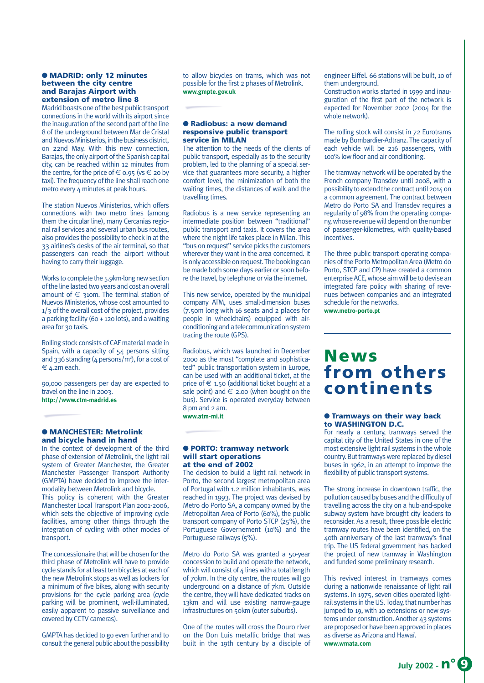#### ● **MADRID: only 12 minutes between the city centre and Barajas Airport with extension of metro line 8**

Madrid boasts one of the best public transport connections in the world with its airport since the inauguration of the second part of the line 8 of the underground between Mar de Cristal and Nuevos Ministerios, in the business district, on 22nd May. With this new connection, Barajas, the only airport of the Spanish capital city, can be reached within 12 minutes from the centre, for the price of  $\in$  0.95 (vs  $\in$  20 by taxi). The frequency of the line shall reach one metro every 4 minutes at peak hours.

The station Nuevos Ministerios, which offers connections with two metro lines (among them the circular line), many Cercanias regional rail services and several urban bus routes, also provides the possibility to check in at the 33 airlines's desks of the air terminal, so that passengers can reach the airport without having to carry their luggage.

Works to complete the 5.9km-long new section of the line lasted two years and cost an overall amount of  $\epsilon$  310m. The terminal station of Nuevos Ministerios, whose cost amounted to 1/3 of the overall cost of the project, provides a parking facility (60 + 120 lots), and a waiting area for 30 taxis.

Rolling stock consists of CAF material made in Spain, with a capacity of 54 persons sitting and 336 standing  $(4 \text{ persons}/\text{m}^2)$ , for a cost of  $€$  4.2m each.

90,000 passengers per day are expected to travel on the line in 2003. **http://www.ctm-madrid.es**

#### ● **MANCHESTER: Metrolink and bicycle hand in hand**

In the context of development of the third phase of extension of Metrolink, the light rail system of Greater Manchester, the Greater Manchester Passenger Transport Authority (GMPTA) have decided to improve the intermodality between Metrolink and bicycle. This policy is coherent with the Greater Manchester Local Transport Plan 2001-2006, which sets the objective of improving cycle facilities, among other things through the integration of cycling with other modes of transport.

The concessionaire that will be chosen for the third phase of Metrolink will have to provide cycle stands for at least ten bicycles at each of the new Metrolink stops as well as lockers for a minimum of five bikes, along with security provisions for the cycle parking area (cycle parking will be prominent, well-illuminated, easily apparent to passive surveillance and covered by CCTV cameras).

GMPTA has decided to go even further and to consult the general public about the possibility to allow bicycles on trams, which was not possible for the first 2 phases of Metrolink. **www.gmpte.gov.uk**

#### ● **Radiobus: a new demand responsive public transport service in MILAN**

The attention to the needs of the clients of public transport, especially as to the security problem, led to the planning of a special service that guarantees more security, a higher comfort level, the minimization of both the waiting times, the distances of walk and the travelling times.

Radiobus is a new service representing an intermediate position between "traditional" public transport and taxis. It covers the area where the night life takes place in Milan. This "bus on request" service picks the customers wherever they want in the area concerned. It is only accessible on request. The booking can be made both some days earlier or soon before the travel, by telephone or via the internet.

This new service, operated by the municipal company ATM, uses small-dimension buses (7.50m long with 16 seats and 2 places for people in wheelchairs) equipped with airconditioning and a telecommunication system tracing the route (GPS).

Radiobus, which was launched in December 2000 as the most "complete and sophisticated" public transportation system in Europe, can be used with an additional ticket, at the price of  $\epsilon$  1.50 (additional ticket bought at a sale point) and  $\epsilon$  2.00 (when bought on the bus). Service is operated everyday between 8 pm and 2 am. **www.atm-mi.it**

#### ● **PORTO: tramway network will start operations at the end of 2002**

The decision to build a light rail network in Porto, the second largest metropolitan area of Portugal with 1.2 million inhabitants, was reached in 1993. The project was devised by Metro do Porto SA, a company owned by the Metropolitan Area of Porto (60%), the public transport company of Porto STCP (25%), the Portuguese Governement (10%) and the Portuguese railways (5%).

Metro do Porto SA was granted a 50-year concession to build and operate the network, which will consist of  $4$  lines with a total length of 70km. In the city centre, the routes will go underground on a distance of 7km. Outside the centre, they will have dedicated tracks on 13km and will use existing narrow-gauge infrastructures on 50km (outer suburbs).

One of the routes will cross the Douro river on the Don Luis metallic bridge that was built in the 19th century by a disciple of engineer Eiffel. 66 stations will be built, 10 of them underground.

Construction works started in 1999 and inauguration of the first part of the network is expected for November 2002 (2004 for the whole network).

The rolling stock will consist in 72 Eurotrams made by Bombardier-Adtranz. The capacity of each vehicle will be 216 passengers, with 100% low floor and air conditioning.

The tramway network will be operated by the French company Transdev until 2008, with a possibility to extend the contract until 2014 on a common agreement. The contract between Metro do Porto SA and Transdev requires a regularity of 98% from the operating company, whose revenue will depend on the number of passenger-kilometres, with quality-based incentives.

The three public transport operating companies of the Porto Metropolitan Area (Metro do Porto, STCP and CP) have created a common enterprise ACE, whose aim will be to devise an integrated fare policy with sharing of revenues between companies and an integrated schedule for the networks.

**www.metro-porto.pt**

### **News from others continents**

#### ● **Tramways on their way back to WASHINGTON D.C.**

For nearly a century, tramways served the capital city of the United States in one of the most extensive light rail systems in the whole country. But tramways were replaced by diesel buses in 1962, in an attempt to improve the flexibility of public transport systems.

The strong increase in downtown traffic, the pollution caused by buses and the difficulty of travelling across the city on a hub-and-spoke subway system have brought city leaders to reconsider. As a result, three possible electric tramway routes have been identified, on the 40th anniversary of the last tramway's final trip. The US federal government has backed the project of new tramway in Washington and funded some preliminary research.

This revived interest in tramways comes during a nationwide renaissance of light rail systems. In 1975, seven cities operated lightrail systems in the US. Today, that number has jumped to 19, with 10 extensions or new systems under construction. Another 43 systems are proposed or have been approved in places as diverse as Arizona and Hawaï. **www.wmata.com**

**July 2002 - n° 9**